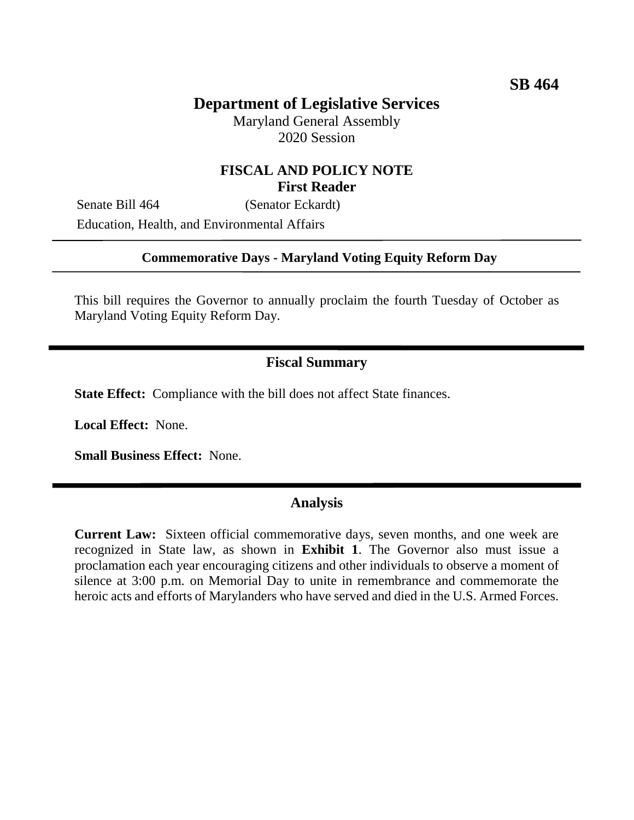# **Department of Legislative Services**

Maryland General Assembly 2020 Session

#### **FISCAL AND POLICY NOTE First Reader**

Senate Bill 464 (Senator Eckardt) Education, Health, and Environmental Affairs

#### **Commemorative Days - Maryland Voting Equity Reform Day**

This bill requires the Governor to annually proclaim the fourth Tuesday of October as Maryland Voting Equity Reform Day.

# **Fiscal Summary**

**State Effect:** Compliance with the bill does not affect State finances.

**Local Effect:** None.

**Small Business Effect:** None.

#### **Analysis**

**Current Law:** Sixteen official commemorative days, seven months, and one week are recognized in State law, as shown in **Exhibit 1**. The Governor also must issue a proclamation each year encouraging citizens and other individuals to observe a moment of silence at 3:00 p.m. on Memorial Day to unite in remembrance and commemorate the heroic acts and efforts of Marylanders who have served and died in the U.S. Armed Forces.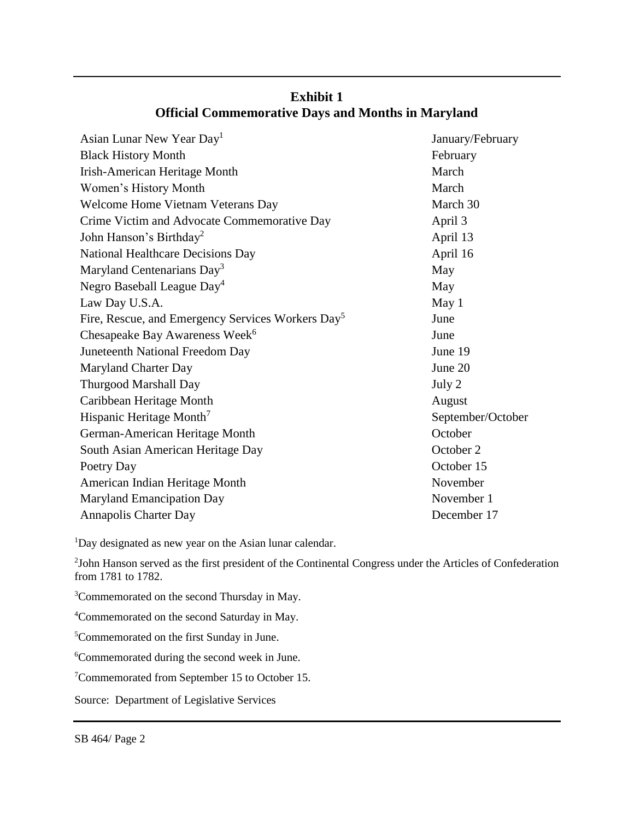| Asian Lunar New Year Day <sup>1</sup>                         | January/February  |
|---------------------------------------------------------------|-------------------|
| <b>Black History Month</b>                                    | February          |
| Irish-American Heritage Month                                 | March             |
| Women's History Month                                         | March             |
| Welcome Home Vietnam Veterans Day                             | March 30          |
| Crime Victim and Advocate Commemorative Day                   | April 3           |
| John Hanson's Birthday <sup>2</sup>                           | April 13          |
| National Healthcare Decisions Day                             | April 16          |
| Maryland Centenarians Day <sup>3</sup>                        | May               |
| Negro Baseball League Day <sup>4</sup>                        | May               |
| Law Day U.S.A.                                                | May 1             |
| Fire, Rescue, and Emergency Services Workers Day <sup>5</sup> | June              |
| Chesapeake Bay Awareness Week <sup>6</sup>                    | June              |
| Juneteenth National Freedom Day                               | June 19           |
| Maryland Charter Day                                          | June 20           |
| <b>Thurgood Marshall Day</b>                                  | July 2            |
| Caribbean Heritage Month                                      | August            |
| Hispanic Heritage Month <sup>7</sup>                          | September/October |
| German-American Heritage Month                                | October           |
| South Asian American Heritage Day                             | October 2         |
| Poetry Day                                                    | October 15        |
| American Indian Heritage Month                                | November          |
| Maryland Emancipation Day                                     | November 1        |
| Annapolis Charter Day                                         | December 17       |
|                                                               |                   |

## **Exhibit 1 Official Commemorative Days and Months in Maryland**

<sup>1</sup>Day designated as new year on the Asian lunar calendar.

2 John Hanson served as the first president of the Continental Congress under the Articles of Confederation from 1781 to 1782.

<sup>3</sup>Commemorated on the second Thursday in May.

<sup>4</sup>Commemorated on the second Saturday in May.

<sup>5</sup>Commemorated on the first Sunday in June.

<sup>6</sup>Commemorated during the second week in June.

<sup>7</sup>Commemorated from September 15 to October 15.

Source: Department of Legislative Services